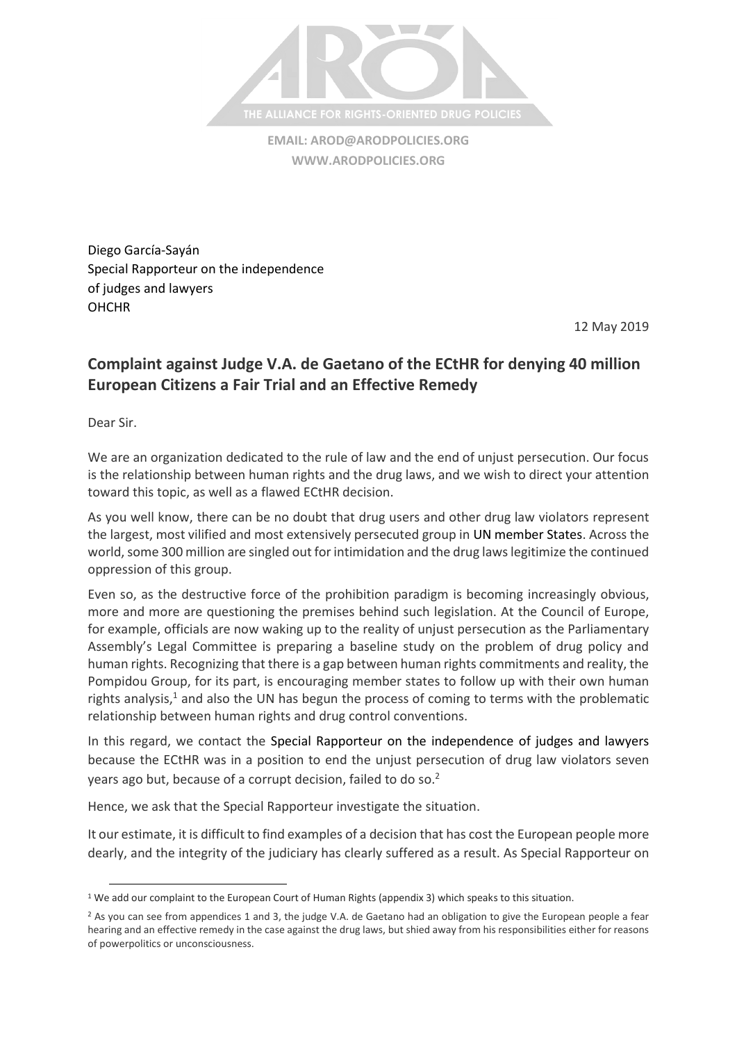

**EMAIL: [AROD@ARODPOLICIES.ORG](mailto:AROD@ARODPOLICIES.ORG) [WWW.ARODPOLICIES.ORG](http://www.arodpolicies.org/)**

Diego García-Sayán Special Rapporteur on the independence of judges and lawyers **OHCHR** 

12 May 2019

## **Complaint against Judge V.A. de Gaetano of the ECtHR for denying 40 million European Citizens a Fair Trial and an Effective Remedy**

Dear Sir.

 $\overline{a}$ 

We are an organization dedicated to the rule of law and the end of unjust persecution. Our focus is the relationship between human rights and the drug laws, and we wish to direct your attention toward this topic, as well as a flawed ECtHR decision.

As you well know, there can be no doubt that drug users and other drug law violators represent the largest, most vilified and most extensively persecuted group in UN member States. Across the world, some 300 million are singled out for intimidation and the drug laws legitimize the continued oppression of this group.

Even so, as the destructive force of the prohibition paradigm is becoming increasingly obvious, more and more are questioning the premises behind such legislation. At the Council of Europe, for example, officials are now waking up to the reality of unjust persecution as the Parliamentary Assembly's Legal Committee is preparing a baseline study on the problem of drug policy and human rights. Recognizing that there is a gap between human rights commitments and reality, the Pompidou Group, for its part, is encouraging member states to follow up with their own human rights analysis, $<sup>1</sup>$  and also the UN has begun the process of coming to terms with the problematic</sup> relationship between human rights and drug control conventions.

In this regard, we contact the Special Rapporteur on the independence of judges and lawyers because the ECtHR was in a position to end the unjust persecution of drug law violators seven years ago but, because of a corrupt decision, failed to do so.<sup>2</sup>

Hence, we ask that the Special Rapporteur investigate the situation.

It our estimate, it is difficult to find examples of a decision that has cost the European people more dearly, and the integrity of the judiciary has clearly suffered as a result. As Special Rapporteur on

<sup>&</sup>lt;sup>1</sup> We add our complaint to the European Court of Human Rights (appendix 3) which speaks to this situation.

 $<sup>2</sup>$  As you can see from appendices 1 and 3, the judge V.A. de Gaetano had an obligation to give the European people a fear</sup> hearing and an effective remedy in the case against the drug laws, but shied away from his responsibilities either for reasons of powerpolitics or unconsciousness.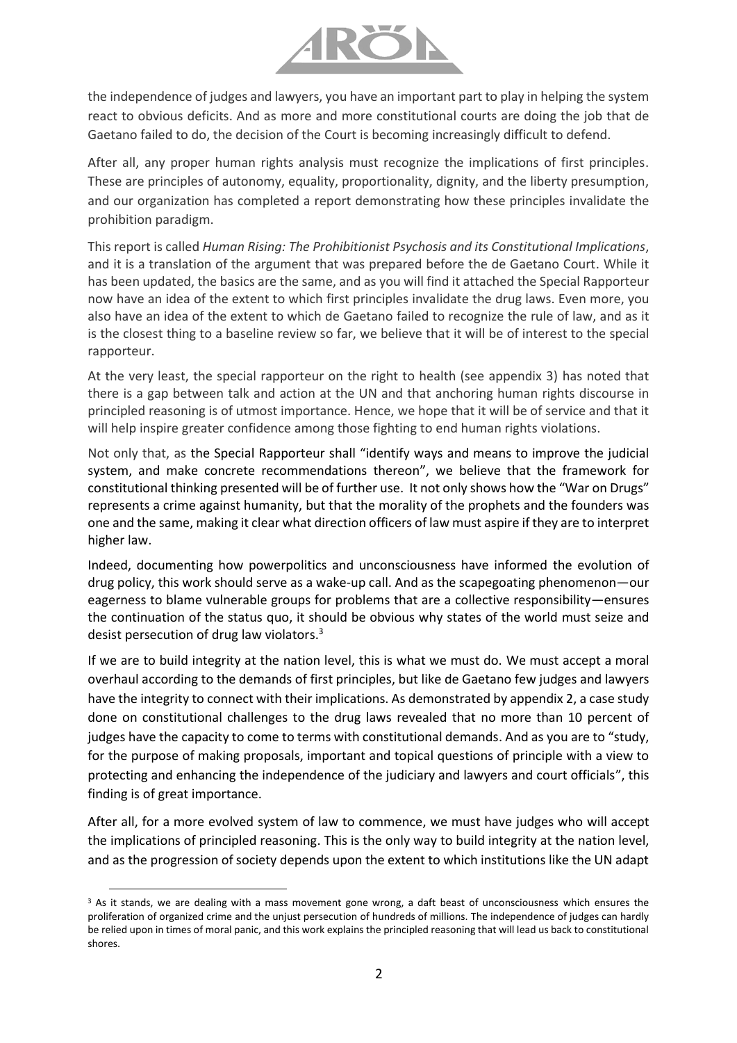

the independence of judges and lawyers, you have an important part to play in helping the system react to obvious deficits. And as more and more constitutional courts are doing the job that de Gaetano failed to do, the decision of the Court is becoming increasingly difficult to defend.

After all, any proper human rights analysis must recognize the implications of first principles. These are principles of autonomy, equality, proportionality, dignity, and the liberty presumption, and our organization has completed a report demonstrating how these principles invalidate the prohibition paradigm.

This report is called *Human Rising: The Prohibitionist Psychosis and its Constitutional Implications*, and it is a translation of the argument that was prepared before the de Gaetano Court. While it has been updated, the basics are the same, and as you will find it attached the Special Rapporteur now have an idea of the extent to which first principles invalidate the drug laws. Even more, you also have an idea of the extent to which de Gaetano failed to recognize the rule of law, and as it is the closest thing to a baseline review so far, we believe that it will be of interest to the special rapporteur.

At the very least, the special rapporteur on the right to health (see appendix 3) has noted that there is a gap between talk and action at the UN and that anchoring human rights discourse in principled reasoning is of utmost importance. Hence, we hope that it will be of service and that it will help inspire greater confidence among those fighting to end human rights violations.

Not only that, as the Special Rapporteur shall "identify ways and means to improve the judicial system, and make concrete recommendations thereon", we believe that the framework for constitutional thinking presented will be of further use. It not only shows how the "War on Drugs" represents a crime against humanity, but that the morality of the prophets and the founders was one and the same, making it clear what direction officers of law must aspire if they are to interpret higher law.

Indeed, documenting how powerpolitics and unconsciousness have informed the evolution of drug policy, this work should serve as a wake-up call. And as the scapegoating phenomenon—our eagerness to blame vulnerable groups for problems that are a collective responsibility—ensures the continuation of the status quo, it should be obvious why states of the world must seize and desist persecution of drug law violators.<sup>3</sup>

If we are to build integrity at the nation level, this is what we must do. We must accept a moral overhaul according to the demands of first principles, but like de Gaetano few judges and lawyers have the integrity to connect with their implications. As demonstrated by appendix 2, a case study done on constitutional challenges to the drug laws revealed that no more than 10 percent of judges have the capacity to come to terms with constitutional demands. And as you are to "study, for the purpose of making proposals, important and topical questions of principle with a view to protecting and enhancing the independence of the judiciary and lawyers and court officials", this finding is of great importance.

After all, for a more evolved system of law to commence, we must have judges who will accept the implications of principled reasoning. This is the only way to build integrity at the nation level, and as the progression of society depends upon the extent to which institutions like the UN adapt

 $\overline{a}$ 

<sup>&</sup>lt;sup>3</sup> As it stands, we are dealing with a mass movement gone wrong, a daft beast of unconsciousness which ensures the proliferation of organized crime and the unjust persecution of hundreds of millions. The independence of judges can hardly be relied upon in times of moral panic, and this work explains the principled reasoning that will lead us back to constitutional shores.